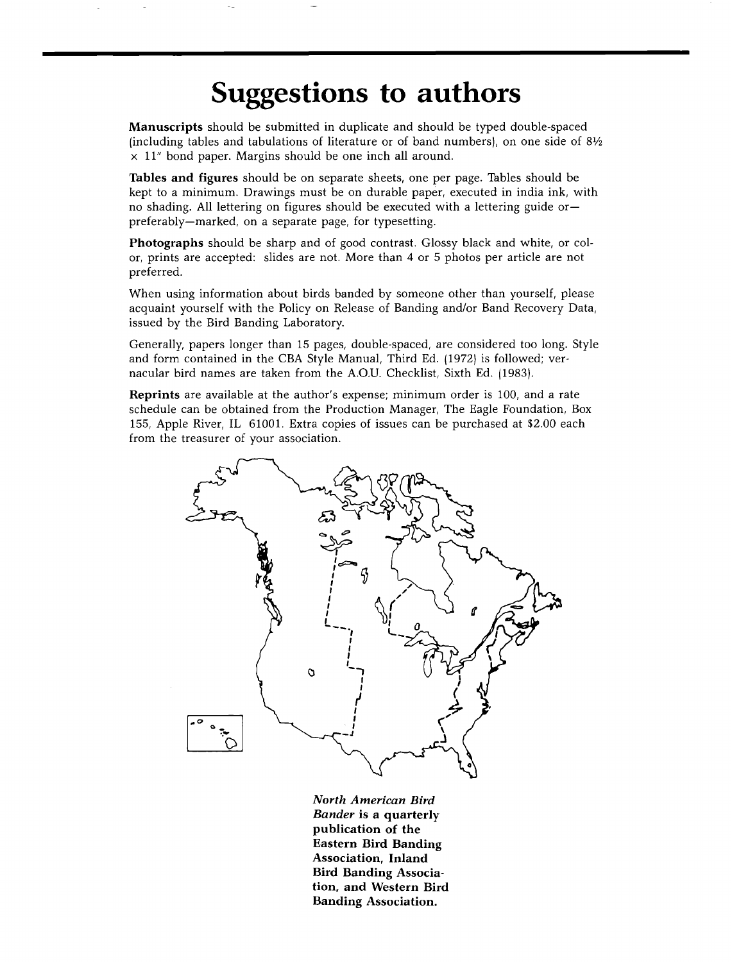## **Suggestions to authors**

**Manuscripts should be submitted in duplicate and should be typed double-spaced (including tables and tabulations of literature or of band numbers), on one side of 81/2 x 11" bond paper. Margins should be one inch all around.** 

**Tables and figures should be on separate sheets, one per page. Tables should be kept to a minimum. Drawings must be on durable paper, executed in india ink, with no shading. All lettering on figures should be executed with a lettering guide or- preferably--marked, on a separate page, for typesetting.** 

**Photographs should be sharp and of good contrast. Glossy black and white, or color, prints are accepted: slides are not. More than 4 or 5 photos per article are not preferred.** 

**When using information about birds banded by someone other than yourself, please acquaint yourself with the Policy on Release of Banding and/or Band Recovery Data, issued by the Bird Banding Laboratory.** 

**Generally, papers longer than 15 pages, double-spaced, are considered too long. Style and form contained in the CBA Style Manual, Third Ed. (1972) is followed; vernacular bird names are taken from the A.O.U. Checklist, Sixth Ed. 11983).** 

**Reprints are available at the author's expense; minimum order is 100, and a rate schedule can be obtained from the Production Manager, The Eagle Foundation, Box 155, Apple River, IL 61001. Extra copies of issues can be purchased at \$2.00 each from the treasurer of your association.** 



**North American Bird Bander is a quarterly publication of the Eastern Bird Banding Association, Inland Bird Banding Association, and Western Bird Banding Association.**